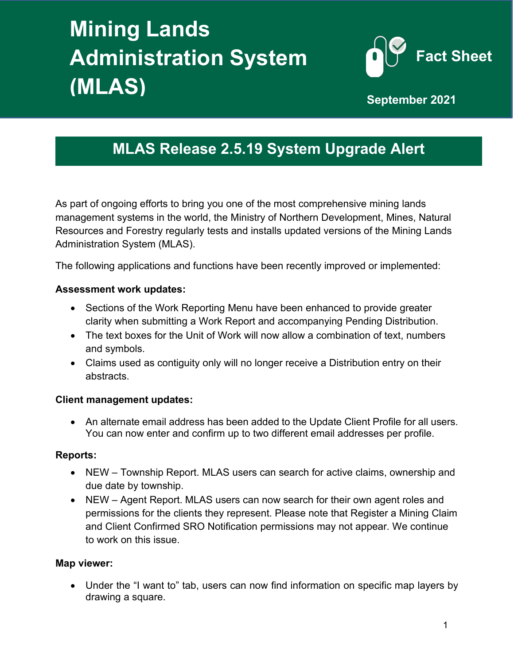# **Mining Lands Administration System (MLAS)**



**September 2021**

# **MLAS Release 2.5.19 System Upgrade Alert**

As part of ongoing efforts to bring you one of the most comprehensive mining lands management systems in the world, the Ministry of Northern Development, Mines, Natural Resources and Forestry regularly tests and installs updated versions of the Mining Lands Administration System (MLAS).

The following applications and functions have been recently improved or implemented:

#### **Assessment work updates:**

- Sections of the Work Reporting Menu have been enhanced to provide greater clarity when submitting a Work Report and accompanying Pending Distribution.
- The text boxes for the Unit of Work will now allow a combination of text, numbers and symbols.
- Claims used as contiguity only will no longer receive a Distribution entry on their abstracts.

#### **Client management updates:**

• An alternate email address has been added to the Update Client Profile for all users. You can now enter and confirm up to two different email addresses per profile.

#### **Reports:**

- NEW Township Report. MLAS users can search for active claims, ownership and due date by township.
- NEW Agent Report. MLAS users can now search for their own agent roles and permissions for the clients they represent. Please note that Register a Mining Claim and Client Confirmed SRO Notification permissions may not appear. We continue to work on this issue.

#### **Map viewer:**

• Under the "I want to" tab, users can now find information on specific map layers by drawing a square.